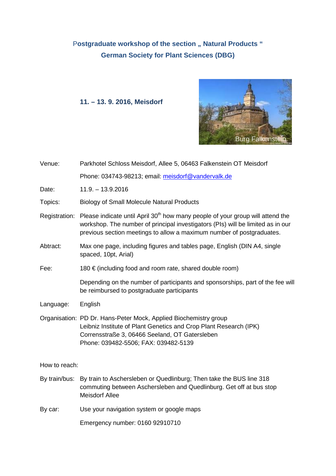# Postgraduate workshop of the section " Natural Products " **German Society for Plant Sciences (DBG)**

## **11. – 13. 9. 2016, Meisdorf**



| Venue:        | Parkhotel Schloss Meisdorf, Allee 5, 06463 Falkenstein OT Meisdorf                                                                                                                                                                                                   |  |
|---------------|----------------------------------------------------------------------------------------------------------------------------------------------------------------------------------------------------------------------------------------------------------------------|--|
|               | Phone: 034743-98213; email: meisdorf@vandervalk.de                                                                                                                                                                                                                   |  |
| Date:         | $11.9. - 13.9.2016$                                                                                                                                                                                                                                                  |  |
| Topics:       | <b>Biology of Small Molecule Natural Products</b>                                                                                                                                                                                                                    |  |
|               | Registration: Please indicate until April 30 <sup>th</sup> how many people of your group will attend the<br>workshop. The number of principal investigators (PIs) will be limited as in our<br>previous section meetings to allow a maximum number of postgraduates. |  |
| Abtract:      | Max one page, including figures and tables page, English (DIN A4, single<br>spaced, 10pt, Arial)                                                                                                                                                                     |  |
| Fee:          | 180 € (including food and room rate, shared double room)                                                                                                                                                                                                             |  |
|               | Depending on the number of participants and sponsorships, part of the fee will<br>be reimbursed to postgraduate participants                                                                                                                                         |  |
| Language:     | English                                                                                                                                                                                                                                                              |  |
|               | Organisation: PD Dr. Hans-Peter Mock, Applied Biochemistry group<br>Leibniz Institute of Plant Genetics and Crop Plant Research (IPK)<br>Corrensstraße 3, 06466 Seeland, OT Gatersleben<br>Phone: 039482-5506; FAX: 039482-5139                                      |  |
| How to reach: |                                                                                                                                                                                                                                                                      |  |
|               | By train/bus: By train to Aschersleben or Quedlinburg; Then take the BUS line 318<br>commuting between Aschersleben and Quedlinburg. Get off at bus stop<br><b>Meisdorf Allee</b>                                                                                    |  |
| By car:       | Use your navigation system or google maps                                                                                                                                                                                                                            |  |
|               | Emergency number: 0160 92910710                                                                                                                                                                                                                                      |  |